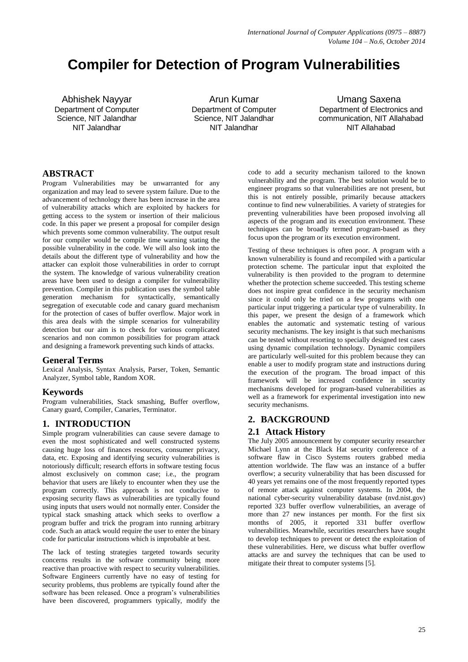# **Compiler for Detection of Program Vulnerabilities**

Abhishek Nayyar Department of Computer Science, NIT Jalandhar NIT Jalandhar

Arun Kumar Department of Computer Science, NIT Jalandhar NIT Jalandhar

 Umang Saxena Department of Electronics and communication, NIT Allahabad NIT Allahabad

# **ABSTRACT**

Program Vulnerabilities may be unwarranted for any organization and may lead to severe system failure. Due to the advancement of technology there has been increase in the area of vulnerability attacks which are exploited by hackers for getting access to the system or insertion of their malicious code. In this paper we present a proposal for compiler design which prevents some common vulnerability. The output result for our compiler would be compile time warning stating the possible vulnerability in the code. We will also look into the details about the different type of vulnerability and how the attacker can exploit those vulnerabilities in order to corrupt the system. The knowledge of various vulnerability creation areas have been used to design a compiler for vulnerability prevention. Compiler in this publication uses the symbol table generation mechanism for syntactically, semantically segregation of executable code and canary guard mechanism for the protection of cases of buffer overflow. Major work in this area deals with the simple scenarios for vulnerability detection but our aim is to check for various complicated scenarios and non common possibilities for program attack and designing a framework preventing such kinds of attacks.

### **General Terms**

Lexical Analysis, Syntax Analysis, Parser, Token, Semantic Analyzer, Symbol table, Random XOR.

### **Keywords**

Program vulnerabilities, Stack smashing, Buffer overflow, Canary guard, Compiler, Canaries, Terminator.

# **1. INTRODUCTION**

Simple program vulnerabilities can cause severe damage to even the most sophisticated and well constructed systems causing huge loss of finances resources, consumer privacy, data, etc. Exposing and identifying security vulnerabilities is notoriously difficult; research efforts in software testing focus almost exclusively on common case; i.e., the program behavior that users are likely to encounter when they use the program correctly. This approach is not conducive to exposing security flaws as vulnerabilities are typically found using inputs that users would not normally enter. Consider the typical stack smashing attack which seeks to overflow a program buffer and trick the program into running arbitrary code. Such an attack would require the user to enter the binary code for particular instructions which is improbable at best.

The lack of testing strategies targeted towards security concerns results in the software community being more reactive than proactive with respect to security vulnerabilities. Software Engineers currently have no easy of testing for security problems, thus problems are typically found after the software has been released. Once a program's vulnerabilities have been discovered, programmers typically, modify the

code to add a security mechanism tailored to the known vulnerability and the program. The best solution would be to engineer programs so that vulnerabilities are not present, but this is not entirely possible, primarily because attackers continue to find new vulnerabilities. A variety of strategies for preventing vulnerabilities have been proposed involving all aspects of the program and its execution environment. These techniques can be broadly termed program-based as they focus upon the program or its execution environment.

Testing of these techniques is often poor. A program with a known vulnerability is found and recompiled with a particular protection scheme. The particular input that exploited the vulnerability is then provided to the program to determine whether the protection scheme succeeded. This testing scheme does not inspire great confidence in the security mechanism since it could only be tried on a few programs with one particular input triggering a particular type of vulnerability. In this paper, we present the design of a framework which enables the automatic and systematic testing of various security mechanisms. The key insight is that such mechanisms can be tested without resorting to specially designed test cases using dynamic compilation technology. Dynamic compilers are particularly well-suited for this problem because they can enable a user to modify program state and instructions during the execution of the program. The broad impact of this framework will be increased confidence in security mechanisms developed for program-based vulnerabilities as well as a framework for experimental investigation into new security mechanisms.

# **2. BACKGROUND**

### **2.1 Attack History**

The July 2005 announcement by computer security researcher Michael Lynn at the Black Hat security conference of a software flaw in Cisco Systems routers grabbed media attention worldwide. The flaw was an instance of a buffer overflow; a security vulnerability that has been discussed for 40 years yet remains one of the most frequently reported types of remote attack against computer systems. In 2004, the national cyber-security vulnerability database (nvd.nist.gov) reported 323 buffer overflow vulnerabilities, an average of more than 27 new instances per month. For the first six months of 2005, it reported 331 buffer overflow vulnerabilities. Meanwhile, securities researchers have sought to develop techniques to prevent or detect the exploitation of these vulnerabilities. Here, we discuss what buffer overflow attacks are and survey the techniques that can be used to mitigate their threat to computer systems [5].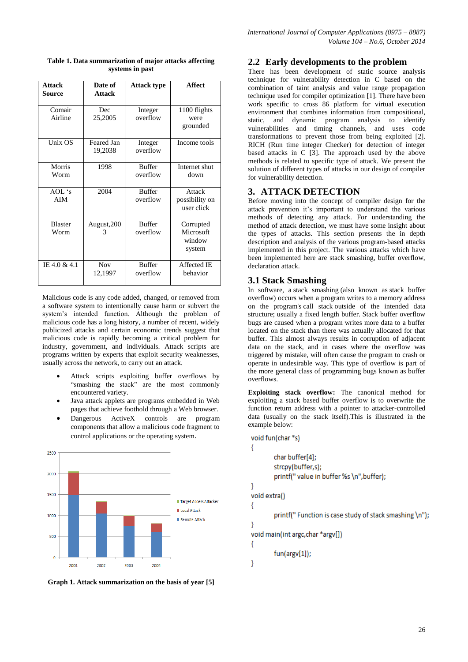| <b>Attack</b><br><b>Source</b> | Date of<br><b>Attack</b> | <b>Attack type</b>        | <b>Affect</b>                              |
|--------------------------------|--------------------------|---------------------------|--------------------------------------------|
| Comair<br>Airline              | Dec<br>25,2005           | Integer<br>overflow       | 1100 flights<br>were<br>grounded           |
| Unix OS                        | Feared Jan<br>19,2038    | Integer<br>overflow       | Income tools                               |
| Morris<br>Worm                 | 1998                     | <b>Buffer</b><br>overflow | Internet shut<br>down                      |
| AOL's<br><b>AIM</b>            | 2004                     | <b>Buffer</b><br>overflow | Attack<br>possibility on<br>user click     |
| <b>Blaster</b><br>Worm         | August, 200<br>3         | <b>Buffer</b><br>overflow | Corrupted<br>Microsoft<br>window<br>system |
| IE 4.0 & 4.1                   | <b>Nov</b><br>12,1997    | <b>Buffer</b><br>overflow | Affected IE<br>behavior                    |

**Table 1. Data summarization of major attacks affecting systems in past**

Malicious code is any code added, changed, or removed from a software system to intentionally cause harm or subvert the system's intended function. Although the problem of malicious code has a long history, a number of recent, widely publicized attacks and certain economic trends suggest that malicious code is rapidly becoming a critical problem for industry, government, and individuals. Attack scripts are programs written by experts that exploit security weaknesses, usually across the network, to carry out an attack.

- Attack scripts exploiting buffer overflows by "smashing the stack" are the most commonly encountered variety.
- Java attack applets are programs embedded in Web pages that achieve foothold through a Web browser.
- Dangerous ActiveX controls are program components that allow a malicious code fragment to control applications or the operating system.



**Graph 1. Attack summarization on the basis of year [5]**

# **2.2 Early developments to the problem**

There has been development of static source analysis technique for vulnerability detection in C based on the combination of taint analysis and value range propagation technique used for compiler optimization [1]. There have been work specific to cross 86 platform for virtual execution environment that combines information from compositional, static, and dynamic program analysis to identify vulnerabilities and timing channels, and uses code transformations to prevent those from being exploited [2]. RICH (Run time integer Checker) for detection of integer based attacks in C [3]. The approach used by the above methods is related to specific type of attack. We present the solution of different types of attacks in our design of compiler for vulnerability detection.

# **3. ATTACK DETECTION**

Before moving into the concept of compiler design for the attack prevention it's important to understand the various methods of detecting any attack. For understanding the method of attack detection, we must have some insight about the types of attacks. This section presents the in depth description and analysis of the various program-based attacks implemented in this project. The various attacks which have been implemented here are stack smashing, buffer overflow, declaration attack.

# **3.1 Stack Smashing**

In software, a stack smashing (also known as stack buffer overflow) occurs when a program writes to a memory address on the program's call stack outside of the intended data structure; usually a fixed length buffer. Stack buffer overflow bugs are caused when a program writes more data to a buffer located on the stack than there was actually allocated for that buffer. This almost always results in corruption of adjacent data on the stack, and in cases where the overflow was triggered by mistake, will often cause the program to crash or operate in undesirable way. This type of overflow is part of the more general class of programming bugs known as buffer overflows.

**Exploiting stack overflow:** The canonical method for exploiting a stack based buffer overflow is to overwrite the function return address with a pointer to attacker-controlled data (usually on the stack itself).This is illustrated in the example below:

```
void fun(char *s)
ł
         char buffer[4];
         strcpy(buffer,s);
         printf(" value in buffer %s \n", buffer);
ŋ
void extra()
ł
         printf(" Function is case study of stack smashing \n");
-}
void main(int argc, char *argv[])
₹
         fun(argv[1]);\overline{\phantom{a}}
```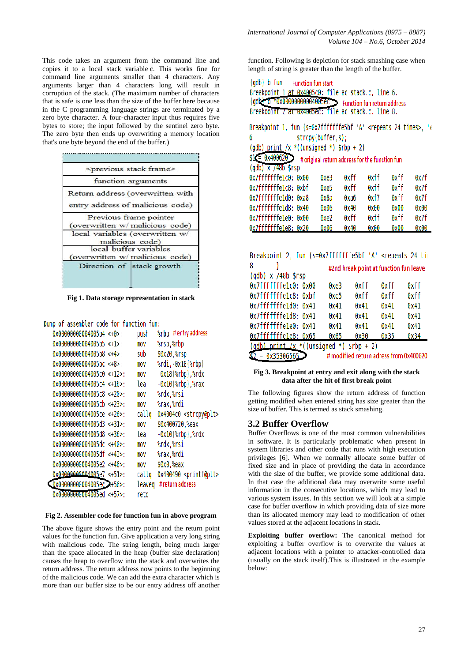This code takes an argument from the command line and copies it to a local stack variable c. This works fine for command line arguments smaller than 4 characters. Any arguments larger than 4 characters long will result in corruption of the stack. (The maximum number of characters that is safe is one less than the size of the buffer here because in the C programming language strings are terminated by a zero byte character. A four-character input thus requires five bytes to store; the input followed by the sentinel zero byte. The zero byte then ends up overwriting a memory location that's one byte beyond the end of the buffer.)



**Fig 1. Data storage representation in stack**

Dump of assembler code for function fun:

| $0x00000000004005b4 < +0>$ : | push   | # entry address<br>%rbp            |
|------------------------------|--------|------------------------------------|
| $0x00000000004005b5 < +1>$ : | mov    | %rsp,%rbp                          |
| $0x00000000004005b8 < +4>$ : | sub    | \$0x20,%rsp                        |
| 0x00000000004005bc <+8>:     | mov    | %rdi,-0x18(%rbp)                   |
| 0x00000000004005c0 <+12>:    | mov    | -0x18(%rbp),%rdx                   |
| $0x00000000004005c4 < +16$   | lea    | -0x10(%rbp),%rax                   |
| 0x00000000004005c8 <+20>:    | mov    | %rdx,%rsi                          |
| 0x00000000004005cb <+23>:    | mov    | %rax,%rdi                          |
| 0x00000000004005ce <+26>:    | callq  | 0x4004c0 <strcpy@plt></strcpy@plt> |
| $0x00000000004005d3 < +31$   | mov    | \$0x400720,%eax                    |
| 0x00000000004005d8 <+36>:    | lea    | -0x10(%rbp),%rdx                   |
| 0x00000000004005dc <+40>:    | mov    | %rdx,%rsi                          |
| 0x00000000004005df <+43>:    | mov    | %rax,%rdi                          |
| 0x00000000004005e2 <+46>:    | mov    | \$0x0,%eax                         |
| 0x00000000004005e7 <+51>:    | callq  | 0x400490 <printf@plt></printf@plt> |
| 0x00000000004005eC.          | leaveg | # return address                   |
| 0x00000000004005ed <+57>:    | reta   |                                    |
|                              |        |                                    |

#### **Fig 2. Assembler code for function fun in above program**

The above figure shows the entry point and the return point values for the function fun. Give application a very long string with malicious code. The string length, being much larger than the space allocated in the heap (buffer size declaration) causes the heap to overflow into the stack and overwrites the return address. The return address now points to the beginning of the malicious code. We can add the extra character which is more than our buffer size to be our entry address off another

function. Following is depiction for stack smashing case when length of string is greater than the length of the buffer.

| (gdb) b Tun Function fun start |                                                          |
|--------------------------------|----------------------------------------------------------|
|                                | Breakpoint 1 at 0x4005c0: file ac stack.c, line 6.       |
|                                | (qdb) D *0x000000000004005eC Function fun return address |
|                                | Breakpoint Z at 0x4005ec: file ac stack.c. line 8.       |

Breakpoint 1. fun (s=0x7fffffffe5bf 'A' <repeats 24 times>. "e strcpy(buffer,s); f6.

```
(qdb) print /x *((unsigned *) $rbp + 2)
$1 = 0x400620 \rightarrow # original return address for the function fun
```

| $\text{(adb)} \times \text{748b}$ \$rsp | <b>H</b> DIRIIIQI I CUIHI QUUI C33 TUI THE TUIRTIUII TUIT |      |      |      |      |
|-----------------------------------------|-----------------------------------------------------------|------|------|------|------|
| 0x7fffffffelc0: 0x00                    | 0xe3                                                      | 0xff | 0xff | 0xff | 0x7f |
| 0x7fffffffelc8: 0xbf                    | 0xe5                                                      | 0xff | 0xff | 0xff | 0x7f |
| 0x7fffffffeld0: 0xa8                    | 0х6а                                                      | 0xa6 | 0xf7 | 0xff | 0x7f |
| 0x7fffffffeld8: 0x40                    | 0x06                                                      | 0x40 | 0x00 | 0x00 | 0x00 |
| 0x7fffffffele0: 0x00                    | 0xe2                                                      | 0xff | 0xff | 0xff | 0x7f |
| 0x7fffffffele8: 0x20                    | 0x06                                                      | 0x40 | 0x00 | 0x00 | 0x00 |

| Breakpoint 2, fun (s=0x7fffffffe5bf 'A' <repeats 24="" th="" ti<=""><th></th><th></th><th></th><th></th></repeats> |      |                                        |      |      |
|--------------------------------------------------------------------------------------------------------------------|------|----------------------------------------|------|------|
| 8                                                                                                                  |      | #2nd break point at function fun leave |      |      |
| $\text{(qdb)} \times \text{/48b } \text{s}$ rsp                                                                    |      |                                        |      |      |
| 0x7fffffffelc0: 0x00                                                                                               | 0xe3 | 0xff                                   | 0xff | 0xff |
| 0x7fffffffelc8: 0xbf                                                                                               | 0xe5 | 0xff                                   | 0xff | 0xff |
| 0x7fffffffeld0: 0x41                                                                                               | 0x41 | 0x41                                   | 0x41 | 0x41 |
| 0x7fffffffeld8: 0x41                                                                                               | 0x41 | 0x41                                   | 0x41 | 0x41 |
| 0x7fffffffele0: 0x41                                                                                               | 0x41 | 0x41                                   | 0x41 | 0x41 |
| 0x7fffffffele8: 0x65                                                                                               | 0x65 | 0x30                                   | 0x35 | 0x34 |
| (adb) $nrint /x * ($ (unsigned *) $srbp + 2$ )                                                                     |      |                                        |      |      |

 $= 0x3530656$ # modified return adress from 0x400620

#### **Fig 3. Breakpoint at entry and exit along with the stack data after the hit of first break point**

The following figures show the return address of function getting modified when entered string has size greater than the size of buffer. This is termed as stack smashing.

#### **3.2 Buffer Overflow**

Buffer Overflows is one of the most common vulnerabilities in software. It is particularly problematic when present in system libraries and other code that runs with high execution privileges [6]. When we normally allocate some buffer of fixed size and in place of providing the data in accordance with the size of the buffer, we provide some additional data. In that case the additional data may overwrite some useful information in the consecutive locations, which may lead to various system issues. In this section we will look at a simple case for buffer overflow in which providing data of size more than its allocated memory may lead to modification of other values stored at the adjacent locations in stack.

**Exploiting buffer overflow:** The canonical method for exploiting a buffer overflow is to overwrite the values at adjacent locations with a pointer to attacker-controlled data (usually on the stack itself).This is illustrated in the example below: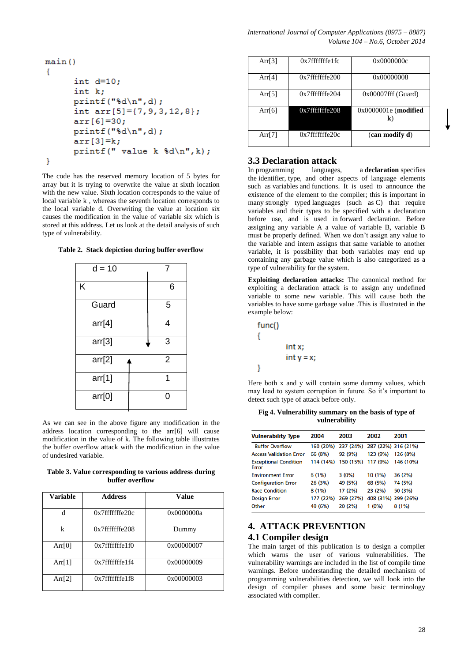```
main()€
      int d=10;int k:
      printf("d\nu", d);int arr[5] = \{7, 9, 3, 12, 8\};arr[6]=30;printf("d\nu", d);
      arr[3]=k;printf(" value k d\n\n\ln", k);
ł
```
The code has the reserved memory location of 5 bytes for array but it is trying to overwrite the value at sixth location with the new value. Sixth location corresponds to the value of local variable k , whereas the seventh location corresponds to the local variable d. Overwriting the value at location six causes the modification in the value of variable six which is stored at this address. Let us look at the detail analysis of such type of vulnerability.

**Table 2. Stack depiction during buffer overflow**

| $d = 10$ |                |
|----------|----------------|
| Κ        | 6              |
| Guard    | 5              |
| arr[4]   | 4              |
| arr[3]   | 3              |
| arr[2]   | $\overline{2}$ |
| arr[1]   |                |
| arr[0]   | n              |

As we can see in the above figure any modification in the address location corresponding to the arr[6] will cause modification in the value of k. The following table illustrates the buffer overflow attack with the modification in the value of undesired variable.

**Table 3. Value corresponding to various address during buffer overflow**

| <b>Variable</b> | <b>Address</b>       | Value      |
|-----------------|----------------------|------------|
| d               | $0x7$ fffffffe $20c$ | 0x0000000a |
| k               | $0x7$ fffffffe $208$ | Dummy      |
| Arr $[0]$       | $0x7$ fffffffe $1f0$ | 0x00000007 |
| Arr[ $1$ ]      | $0x7$ fffffffe $1f4$ | 0x00000009 |
| Arr[2]          | $0x7$ fffffffe 1 f 8 | 0x00000003 |

| Arr[3]    | $0x7$ fffffffe $1fc$ | 0x0000000c                   |
|-----------|----------------------|------------------------------|
| Arr $[4]$ | $0x7$ fffffffe $200$ | 0x00000008                   |
| Arr $[5]$ | $0x7$ fffffffe $204$ | $0x00007$ fff (Guard)        |
| Arr $[6]$ | $0x7$ fffffffe $208$ | $0x0000001e$ (modified<br>k) |
| Arr $[7]$ | $0x7$ fffffffe $20c$ | (can modify d)               |

# **3.3 Declaration attack**

In programming languages, a **declaration** specifies the identifier, type, and other aspects of language elements such as variables and functions. It is used to announce the existence of the element to the compiler; this is important in many strongly typed languages (such as C) that require variables and their types to be specified with a declaration before use, and is used in forward declaration. Before assigning any variable A a value of variable B, variable B must be properly defined. When we don't assign any value to the variable and intern assigns that same variable to another variable, it is possibility that both variables may end up containing any garbage value which is also categorized as a type of vulnerability for the system.

**Exploiting declaration attacks:** The canonical method for exploiting a declaration attack is to assign any undefined variable to some new variable. This will cause both the variables to have some garbage value .This is illustrated in the example below:



Here both x and y will contain some dummy values, which may lead to system corruption in future. So it's important to detect such type of attack before only.

| Fig 4. Vulnerability summary on the basis of type of |  |  |
|------------------------------------------------------|--|--|
| vulnerability                                        |  |  |

| <b>Vulnerability Type</b>                    | 2004      | 2003      | 2002     | 2001                |
|----------------------------------------------|-----------|-----------|----------|---------------------|
| <b>Buffer Overflow</b>                       | 160 (20%) | 237 (24%) |          | 287 (22%) 316 (21%) |
| <b>Access Validation Error</b>               | 66 (8%)   | 92 (9%)   | 123 (9%) | 126 (8%)            |
| <b>Exceptional Condition</b><br><b>Frror</b> | 114 (14%) | 150 (15%) | 117 (9%) | 146 (10%)           |
| <b>Environment Error</b>                     | 6(1%)     | $3(0\%)$  | 10 (1%)  | 36 (2%)             |
| <b>Configuration Error</b>                   | 26 (3%)   | 49 (5%)   | 68 (5%)  | 74 (5%)             |
| <b>Race Condition</b>                        | 8(1%)     | 17 (2%)   | 23 (2%)  | 50 (3%)             |
| <b>Design Error</b>                          | 177 (22%) | 269 (27%) |          | 408 (31%) 399 (26%) |
| Other                                        | 49 (6%)   | 20 (2%)   | $1(0\%)$ | 8(1%)               |

# **4. ATTACK PREVENTION**

### **4.1 Compiler design**

The main target of this publication is to design a compiler which warns the user of various vulnerabilities. The vulnerability warnings are included in the list of compile time warnings. Before understanding the detailed mechanism of programming vulnerabilities detection, we will look into the design of compiler phases and some basic terminology associated with compiler.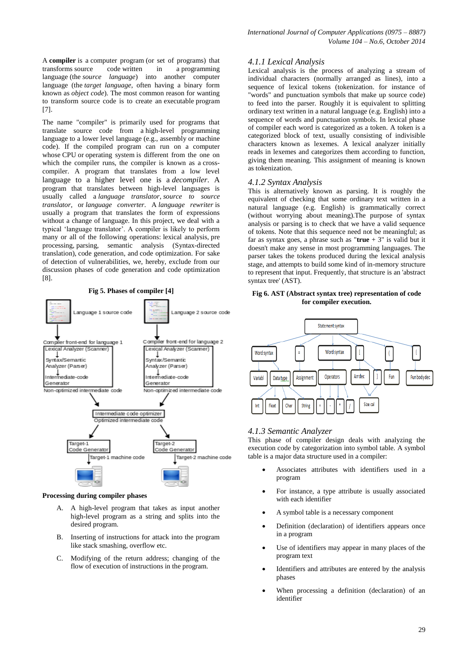A **compiler** is a [computer program](http://en.wikipedia.org/wiki/Computer_program) (or set of programs) that transforms [source code](http://en.wikipedia.org/wiki/Source_code) written in a [programming](http://en.wikipedia.org/wiki/Programming_language)  [language](http://en.wikipedia.org/wiki/Programming_language) (the *source language*) into another computer language (the *target language*, often having a binary form known as *[object code](http://en.wikipedia.org/wiki/Object_code)*). The most common reason for wanting to transform source code is to create an [executable](http://en.wikipedia.org/wiki/Executable) program [7].

The name "compiler" is primarily used for programs that translate source code from a [high-level programming](http://en.wikipedia.org/wiki/High-level_programming_language)  [language](http://en.wikipedia.org/wiki/High-level_programming_language) to a lower level language (e.g., assembly or [machine](http://en.wikipedia.org/wiki/Machine_code)  [code\)](http://en.wikipedia.org/wiki/Machine_code). If the compiled program can run on a computer whose [CPU](http://en.wikipedia.org/wiki/CPU) or [operating system](http://en.wikipedia.org/wiki/Operating_system) is different from the one on which the compiler runs, the compiler is known as a [cross](http://en.wikipedia.org/wiki/Cross-compiler)[compiler.](http://en.wikipedia.org/wiki/Cross-compiler) A program that translates from a low level language to a higher level one is a *[decompiler](http://en.wikipedia.org/wiki/Decompiler)*. A program that translates between high-level languages is usually called a *[language translator](http://en.wikipedia.org/wiki/Translator_(computing))*, *source to source translator*, or *language converter*. A *language [rewriter](http://en.wikipedia.org/wiki/Rewriting)* is usually a program that translates the form of expressions without a change of language. In this project, we deal with a typical 'language translator'. A compiler is likely to perform many or all of the following operations: [lexical analysis,](http://en.wikipedia.org/wiki/Lexical_analysis) [pre](http://en.wikipedia.org/wiki/Preprocessing)  [processing,](http://en.wikipedia.org/wiki/Preprocessing) [parsing,](http://en.wikipedia.org/wiki/Parsing) semantic analysis [\(Syntax-directed](http://en.wikipedia.org/wiki/Syntax-directed_translation)  [translation\)](http://en.wikipedia.org/wiki/Syntax-directed_translation), [code generation,](http://en.wikipedia.org/wiki/Code_generation_(compiler)) and [code optimization.](http://en.wikipedia.org/wiki/Code_optimization) For sake of detection of vulnerabilities, we, hereby, exclude from our discussion phases of code generation and code optimization [8].



#### **Processing during compiler phases**

- A. A high-level program that takes as input another high-level program as a string and splits into the desired program.
- B. Inserting of instructions for attack into the program like stack smashing, overflow etc.
- C. Modifying of the return address; changing of the flow of execution of instructions in the program.

#### *4.1.1 Lexical Analysis*

Lexical analysis is the process of analyzing a stream of individual characters (normally arranged as lines), into a sequence of lexical tokens (tokenization, for instance of "words" and punctuation symbols that make up source code) to feed into the parser. Roughly it is equivalent to splitting ordinary text written in a natural language (e.g. English) into a sequence of words and punctuation symbols. In lexical phase of compiler each word is categorized as a token. A token is a categorized block of text, usually consisting of indivisible characters known as lexemes. A lexical analyzer initially reads in lexemes and categorizes them according to function, giving them meaning. This assignment of meaning is known as tokenization.

#### *4.1.2 Syntax Analysis*

This is alternatively known as parsing. It is roughly the equivalent of checking that some ordinary text written in a natural language (e.g. English) is grammatically correct (without worrying about meaning).The purpose of syntax analysis or parsing is to check that we have a valid sequence of tokens. Note that this sequence need not be meaningful; as far as syntax goes, a phrase such as " $true + 3$ " is valid but it doesn't make any sense in most programming languages. The parser takes the tokens produced during the lexical analysis stage, and attempts to build some kind of in-memory structure to represent that input. Frequently, that structure is an 'abstract syntax tree' (AST).

#### **Fig 6. AST (Abstract syntax tree) representation of code for compiler execution.**



#### *4.1.3 Semantic Analyzer*

This phase of compiler design deals with analyzing the execution code by categorization into symbol table. A symbol table is a major data structure used in a compiler:

- Associates attributes with identifiers used in a program
- For instance, a type attribute is usually associated with each identifier
- A symbol table is a necessary component
- Definition (declaration) of identifiers appears once in a program
- Use of identifiers may appear in many places of the program text
- Identifiers and attributes are entered by the analysis phases
- When processing a definition (declaration) of an identifier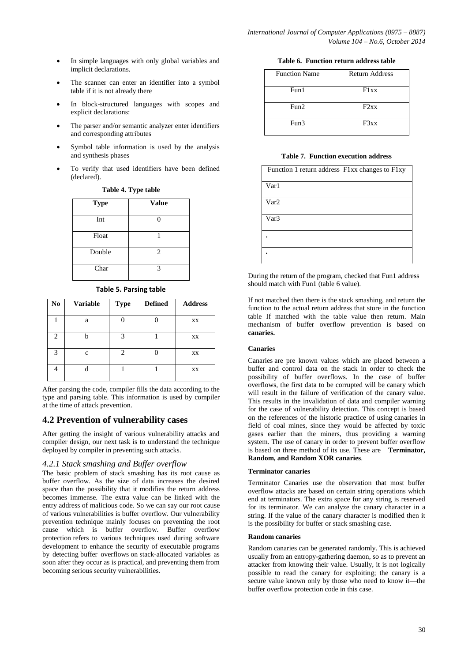- In simple languages with only global variables and implicit declarations.
- The scanner can enter an identifier into a symbol table if it is not already there
- In block-structured languages with scopes and explicit declarations:
- The parser and/or semantic analyzer enter identifiers and corresponding attributes
- Symbol table information is used by the analysis and synthesis phases
- To verify that used identifiers have been defined (declared).

| <b>Type</b> | <b>Value</b>   |
|-------------|----------------|
| Int         |                |
| Float       |                |
| Double      | $\overline{c}$ |
| Char        | 3              |

#### **Table 4. Type table**

**Table 5. Parsing table**

| $\mathbf{N}\mathbf{o}$ | <b>Variable</b> | <b>Type</b>    | <b>Defined</b> | <b>Address</b> |
|------------------------|-----------------|----------------|----------------|----------------|
|                        | a               |                |                | XX             |
| $\overline{c}$         |                 | 3              |                | XX             |
| 3                      | $\mathbf c$     | $\overline{c}$ |                | XX             |
|                        |                 |                |                | XX             |

After parsing the code, compiler fills the data according to the type and parsing table. This information is used by compiler at the time of attack prevention.

### **4.2 Prevention of vulnerability cases**

After getting the insight of various vulnerability attacks and compiler design, our next task is to understand the technique deployed by compiler in preventing such attacks.

### *4.2.1 Stack smashing and Buffer overflow*

The basic problem of stack smashing has its root cause as buffer overflow. As the size of data increases the desired space than the possibility that it modifies the return address becomes immense. The extra value can be linked with the entry address of malicious code. So we can say our root cause of various vulnerabilities is buffer overflow. Our vulnerability prevention technique mainly focuses on preventing the root cause which is buffer overflow. Buffer overflow protection refers to various techniques used during software development to enhance the security of executable programs by detecting [buffer overflows](http://en.wikipedia.org/wiki/Buffer_overflow) on [stack-](http://en.wikipedia.org/wiki/Call_stack)allocated variables as soon after they occur as is practical, and preventing them from becoming serious [security](http://en.wikipedia.org/wiki/Computer_security) vulnerabilities.

#### **Table 6. Function return address table**

| <b>Function Name</b> | <b>Return Address</b> |
|----------------------|-----------------------|
| Fun1                 | F1xx                  |
| Fun2                 | F2xx                  |
| Fun3                 | F3xx                  |

#### **Table 7. Function execution address**

| Function 1 return address F1xx changes to F1xy |
|------------------------------------------------|
| Var1                                           |
| Var2                                           |
| Var3                                           |
|                                                |
|                                                |

During the return of the program, checked that Fun1 address should match with Fun1 (table 6 value).

If not matched then there is the stack smashing, and return the function to the actual return address that store in the function table If matched with the table value then return. Main mechanism of buffer overflow prevention is based on **canaries.**

#### **Canaries**

Canaries are pre known values which are placed between a buffer and control data on the stack in order to check the possibility of buffer overflows. In the case of buffer overflows, the first data to be corrupted will be canary which will result in the failure of verification of the canary value. This results in the invalidation of data and compiler warning for the case of vulnerability detection. This concept is based on the references of the historic practice of using canaries in field of coal mines, since they would be affected by toxic gases earlier than the miners, thus providing a warning system. The use of canary in order to prevent buffer overflow is based on three method of its use. These are **Terminator, Random, and Random XOR canaries**.

#### **Terminator canaries**

Terminator Canaries use the observation that most buffer overflow attacks are based on certain string operations which end at terminators. The extra space for any string is reserved for its terminator. We can analyze the canary character in a string. If the value of the canary character is modified then it is the possibility for buffer or stack smashing case.

#### **Random canaries**

Random canaries can be generated randomly. This is achieved usually from an entropy-gathering daemon, so as to prevent an attacker from knowing their value. Usually, it is not logically possible to read the canary for exploiting; the canary is a secure value known only by those who need to know it—the buffer overflow protection code in this case.